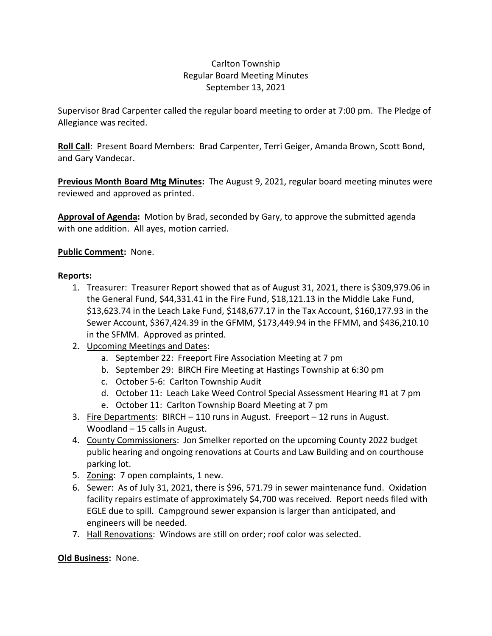## Carlton Township Regular Board Meeting Minutes September 13, 2021

Supervisor Brad Carpenter called the regular board meeting to order at 7:00 pm. The Pledge of Allegiance was recited.

**Roll Call**: Present Board Members: Brad Carpenter, Terri Geiger, Amanda Brown, Scott Bond, and Gary Vandecar.

**Previous Month Board Mtg Minutes:** The August 9, 2021, regular board meeting minutes were reviewed and approved as printed.

**Approval of Agenda:** Motion by Brad, seconded by Gary, to approve the submitted agenda with one addition. All ayes, motion carried.

## **Public Comment:** None.

## **Reports:**

- 1. Treasurer: Treasurer Report showed that as of August 31, 2021, there is \$309,979.06 in the General Fund, \$44,331.41 in the Fire Fund, \$18,121.13 in the Middle Lake Fund, \$13,623.74 in the Leach Lake Fund, \$148,677.17 in the Tax Account, \$160,177.93 in the Sewer Account, \$367,424.39 in the GFMM, \$173,449.94 in the FFMM, and \$436,210.10 in the SFMM. Approved as printed.
- 2. Upcoming Meetings and Dates:
	- a. September 22: Freeport Fire Association Meeting at 7 pm
	- b. September 29: BIRCH Fire Meeting at Hastings Township at 6:30 pm
	- c. October 5-6: Carlton Township Audit
	- d. October 11: Leach Lake Weed Control Special Assessment Hearing #1 at 7 pm
	- e. October 11: Carlton Township Board Meeting at 7 pm
- 3. Fire Departments: BIRCH 110 runs in August. Freeport 12 runs in August. Woodland – 15 calls in August.
- 4. County Commissioners: Jon Smelker reported on the upcoming County 2022 budget public hearing and ongoing renovations at Courts and Law Building and on courthouse parking lot.
- 5. Zoning: 7 open complaints, 1 new.
- 6. Sewer: As of July 31, 2021, there is \$96, 571.79 in sewer maintenance fund. Oxidation facility repairs estimate of approximately \$4,700 was received. Report needs filed with EGLE due to spill. Campground sewer expansion is larger than anticipated, and engineers will be needed.
- 7. Hall Renovations: Windows are still on order; roof color was selected.

**Old Business:** None.